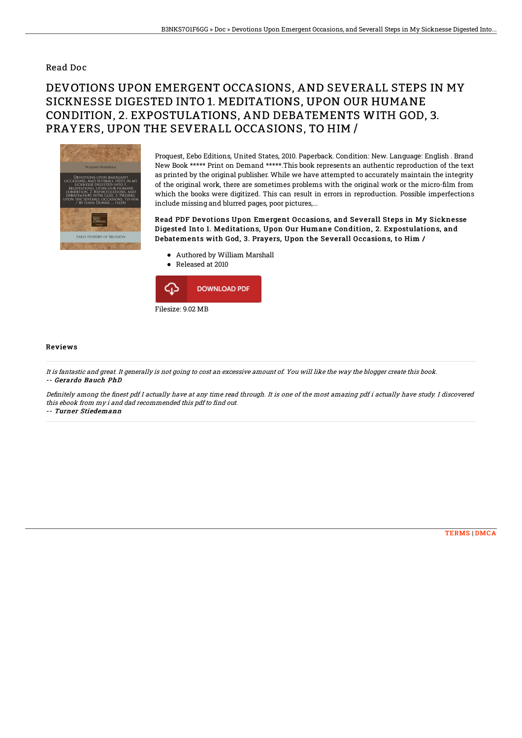## Read Doc

## DEVOTIONS UPON EMERGENT OCCASIONS, AND SEVERALL STEPS IN MY SICKNESSE DIGESTED INTO 1. MEDITATIONS, UPON OUR HUMANE CONDITION, 2. EXPOSTULATIONS, AND DEBATEMENTS WITH GOD, 3. PRAYERS, UPON THE SEVERALL OCCASIONS, TO HIM /



Proquest, Eebo Editions, United States, 2010. Paperback. Condition: New. Language: English . Brand New Book \*\*\*\*\* Print on Demand \*\*\*\*\*.This book represents an authentic reproduction of the text as printed by the original publisher. While we have attempted to accurately maintain the integrity of the original work, there are sometimes problems with the original work or the micro-film from which the books were digitized. This can result in errors in reproduction. Possible imperfections include missing and blurred pages, poor pictures,...

Read PDF Devotions Upon Emergent Occasions, and Severall Steps in My Sicknesse Digested Into 1. Meditations, Upon Our Humane Condition, 2. Expostulations, and Debatements with God, 3. Prayers, Upon the Severall Occasions, to Him /

- Authored by William Marshall
- Released at 2010



## Reviews

It is fantastic and great. It generally is not going to cost an excessive amount of. You will like the way the blogger create this book. -- Gerardo Bauch PhD

Definitely among the finest pdf I actually have at any time read through. It is one of the most amazing pdf i actually have study. I discovered this ebook from my i and dad recommended this pdf to find out.

-- Turner Stiedemann